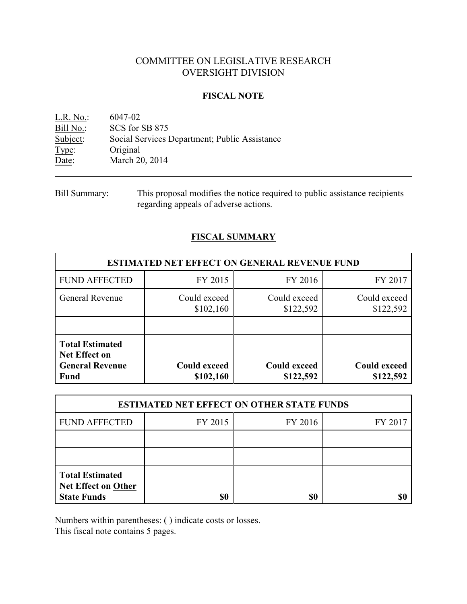# COMMITTEE ON LEGISLATIVE RESEARCH OVERSIGHT DIVISION

### **FISCAL NOTE**

<u>L.R. No.:</u> 6047-02<br>Bill No.: SCS for : SCS for SB 875 Subject: Social Services Department; Public Assistance Type: Original Date: March 20, 2014

## **FISCAL SUMMARY**

| <b>ESTIMATED NET EFFECT ON GENERAL REVENUE FUND</b>                                     |                                  |                                  |                                  |  |
|-----------------------------------------------------------------------------------------|----------------------------------|----------------------------------|----------------------------------|--|
| <b>FUND AFFECTED</b>                                                                    | FY 2015                          | FY 2016                          | FY 2017                          |  |
| General Revenue                                                                         | Could exceed<br>\$102,160        | Could exceed<br>\$122,592        | Could exceed<br>\$122,592        |  |
|                                                                                         |                                  |                                  |                                  |  |
| <b>Total Estimated</b><br><b>Net Effect on</b><br><b>General Revenue</b><br><b>Fund</b> | <b>Could exceed</b><br>\$102,160 | <b>Could exceed</b><br>\$122,592 | <b>Could exceed</b><br>\$122,592 |  |

| <b>ESTIMATED NET EFFECT ON OTHER STATE FUNDS</b>                           |         |         |         |  |
|----------------------------------------------------------------------------|---------|---------|---------|--|
| <b>FUND AFFECTED</b>                                                       | FY 2015 | FY 2016 | FY 2017 |  |
|                                                                            |         |         |         |  |
|                                                                            |         |         |         |  |
| <b>Total Estimated</b><br><b>Net Effect on Other</b><br><b>State Funds</b> | \$0     | \$0     |         |  |

Numbers within parentheses: ( ) indicate costs or losses.

This fiscal note contains 5 pages.

Bill Summary: This proposal modifies the notice required to public assistance recipients regarding appeals of adverse actions.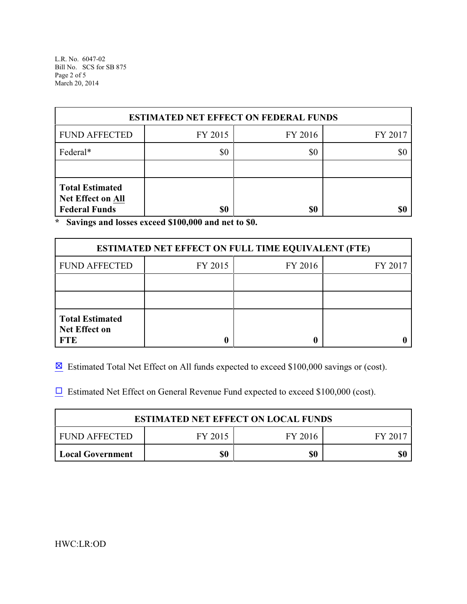L.R. No. 6047-02 Bill No. SCS for SB 875 Page 2 of 5 March 20, 2014

| <b>ESTIMATED NET EFFECT ON FEDERAL FUNDS</b>                               |         |         |         |  |
|----------------------------------------------------------------------------|---------|---------|---------|--|
| <b>FUND AFFECTED</b>                                                       | FY 2015 | FY 2016 | FY 2017 |  |
| Federal*                                                                   | \$0     | \$0     |         |  |
|                                                                            |         |         |         |  |
| <b>Total Estimated</b><br><b>Net Effect on All</b><br><b>Federal Funds</b> | \$0     | \$0     |         |  |

**\* Savings and losses exceed \$100,000 and net to \$0.**

| <b>ESTIMATED NET EFFECT ON FULL TIME EQUIVALENT (FTE)</b>    |         |         |         |  |
|--------------------------------------------------------------|---------|---------|---------|--|
| <b>FUND AFFECTED</b>                                         | FY 2015 | FY 2016 | FY 2017 |  |
|                                                              |         |         |         |  |
|                                                              |         |         |         |  |
| <b>Total Estimated</b><br><b>Net Effect on</b><br><b>FTE</b> |         |         |         |  |

 $\boxtimes$  Estimated Total Net Effect on All funds expected to exceed \$100,000 savings or (cost).

 $\Box$  Estimated Net Effect on General Revenue Fund expected to exceed \$100,000 (cost).

| <b>ESTIMATED NET EFFECT ON LOCAL FUNDS</b> |         |         |       |
|--------------------------------------------|---------|---------|-------|
| FUND AFFECTED                              | FY 2015 | FY 2016 | FV 20 |
| <b>Local Government</b>                    | \$0     | \$0     |       |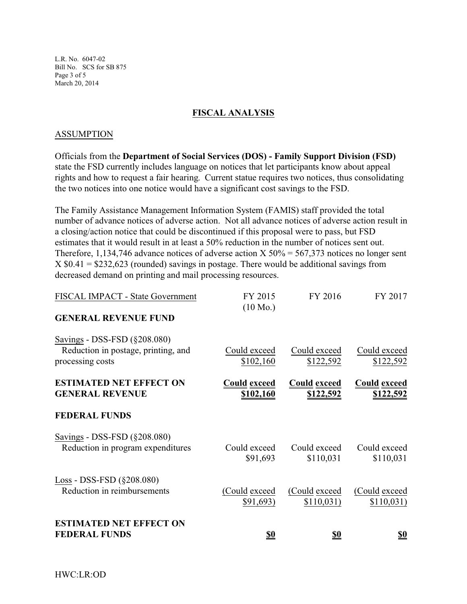L.R. No. 6047-02 Bill No. SCS for SB 875 Page 3 of 5 March 20, 2014

## **FISCAL ANALYSIS**

#### **ASSUMPTION**

Officials from the **Department of Social Services (DOS) - Family Support Division (FSD)** state the FSD currently includes language on notices that let participants know about appeal rights and how to request a fair hearing. Current statue requires two notices, thus consolidating the two notices into one notice would have a significant cost savings to the FSD.

The Family Assistance Management Information System (FAMIS) staff provided the total number of advance notices of adverse action. Not all advance notices of adverse action result in a closing/action notice that could be discontinued if this proposal were to pass, but FSD estimates that it would result in at least a 50% reduction in the number of notices sent out. Therefore, 1,134,746 advance notices of adverse action X  $50\% = 567,373$  notices no longer sent  $X $0.41 = $232,623$  (rounded) savings in postage. There would be additional savings from decreased demand on printing and mail processing resources.

| FISCAL IMPACT - State Government                                                        | FY 2015<br>$(10 \text{ Mo.})$           | FY 2016                                 | FY 2017                          |
|-----------------------------------------------------------------------------------------|-----------------------------------------|-----------------------------------------|----------------------------------|
| <b>GENERAL REVENUE FUND</b>                                                             |                                         |                                         |                                  |
| Savings - DSS-FSD (§208.080)<br>Reduction in postage, printing, and<br>processing costs | Could exceed<br>\$102,160               | Could exceed<br>\$122,592               | Could exceed<br>\$122,592        |
| <b>ESTIMATED NET EFFECT ON</b><br><b>GENERAL REVENUE</b>                                | <b>Could exceed</b><br><u>\$102,160</u> | <b>Could exceed</b><br><u>\$122,592</u> | <b>Could exceed</b><br>\$122,592 |
| <b>FEDERAL FUNDS</b>                                                                    |                                         |                                         |                                  |
| Savings - DSS-FSD (§208.080)<br>Reduction in program expenditures                       | Could exceed<br>\$91,693                | Could exceed<br>\$110,031               | Could exceed<br>\$110,031        |
| Loss - DSS-FSD (§208.080)<br>Reduction in reimbursements                                | (Could exceed<br>\$91,693)              | (Could exceed)<br>\$110,031)            | (Could exceed<br>\$110,031)      |
| <b>ESTIMATED NET EFFECT ON</b><br><b>FEDERAL FUNDS</b>                                  | <u>\$0</u>                              | \$0                                     | <u>\$0</u>                       |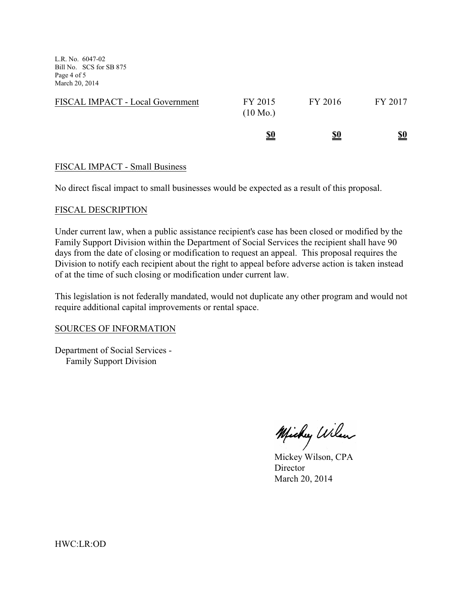L.R. No. 6047-02 Bill No. SCS for SB 875 Page 4 of 5 March 20, 2014

|                                  | <u>\$0</u>                    | <u>\$0</u> | <u>\$0</u> |
|----------------------------------|-------------------------------|------------|------------|
| FISCAL IMPACT - Local Government | FY 2015<br>$(10 \text{ Mo.})$ | FY 2016    | FY 2017    |

#### FISCAL IMPACT - Small Business

No direct fiscal impact to small businesses would be expected as a result of this proposal.

#### FISCAL DESCRIPTION

Under current law, when a public assistance recipient's case has been closed or modified by the Family Support Division within the Department of Social Services the recipient shall have 90 days from the date of closing or modification to request an appeal. This proposal requires the Division to notify each recipient about the right to appeal before adverse action is taken instead of at the time of such closing or modification under current law.

This legislation is not federally mandated, would not duplicate any other program and would not require additional capital improvements or rental space.

#### SOURCES OF INFORMATION

Department of Social Services - Family Support Division

Michy Wilen

Mickey Wilson, CPA **Director** March 20, 2014

HWC:LR:OD